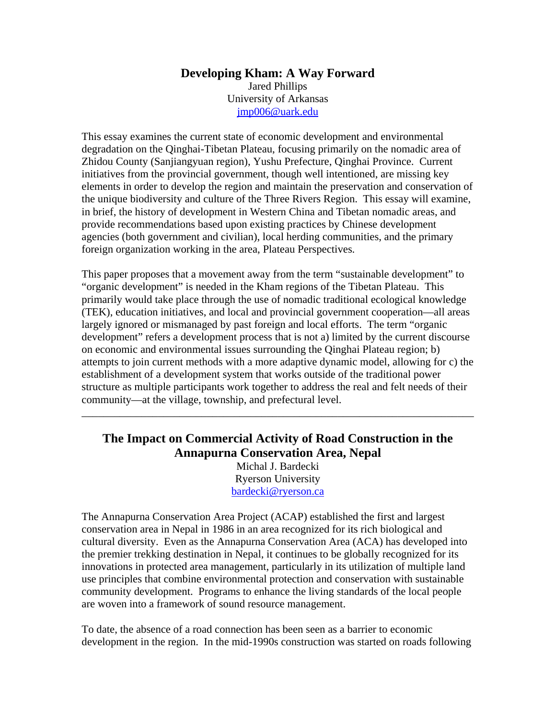### **Developing Kham: A Way Forward**  Jared Phillips University of Arkansas jmp006@uark.edu

This essay examines the current state of economic development and environmental degradation on the Qinghai-Tibetan Plateau, focusing primarily on the nomadic area of Zhidou County (Sanjiangyuan region), Yushu Prefecture, Qinghai Province. Current initiatives from the provincial government, though well intentioned, are missing key elements in order to develop the region and maintain the preservation and conservation of the unique biodiversity and culture of the Three Rivers Region. This essay will examine, in brief, the history of development in Western China and Tibetan nomadic areas, and provide recommendations based upon existing practices by Chinese development agencies (both government and civilian), local herding communities, and the primary foreign organization working in the area, Plateau Perspectives.

This paper proposes that a movement away from the term "sustainable development" to "organic development" is needed in the Kham regions of the Tibetan Plateau. This primarily would take place through the use of nomadic traditional ecological knowledge (TEK), education initiatives, and local and provincial government cooperation—all areas largely ignored or mismanaged by past foreign and local efforts. The term "organic development" refers a development process that is not a) limited by the current discourse on economic and environmental issues surrounding the Qinghai Plateau region; b) attempts to join current methods with a more adaptive dynamic model, allowing for c) the establishment of a development system that works outside of the traditional power structure as multiple participants work together to address the real and felt needs of their community—at the village, township, and prefectural level.

# **The Impact on Commercial Activity of Road Construction in the Annapurna Conservation Area, Nepal**

\_\_\_\_\_\_\_\_\_\_\_\_\_\_\_\_\_\_\_\_\_\_\_\_\_\_\_\_\_\_\_\_\_\_\_\_\_\_\_\_\_\_\_\_\_\_\_\_\_\_\_\_\_\_\_\_\_\_\_\_\_\_\_\_\_\_\_\_\_\_\_\_

Michal J. Bardecki Ryerson University bardecki@ryerson.ca

The Annapurna Conservation Area Project (ACAP) established the first and largest conservation area in Nepal in 1986 in an area recognized for its rich biological and cultural diversity. Even as the Annapurna Conservation Area (ACA) has developed into the premier trekking destination in Nepal, it continues to be globally recognized for its innovations in protected area management, particularly in its utilization of multiple land use principles that combine environmental protection and conservation with sustainable community development. Programs to enhance the living standards of the local people are woven into a framework of sound resource management.

To date, the absence of a road connection has been seen as a barrier to economic development in the region. In the mid-1990s construction was started on roads following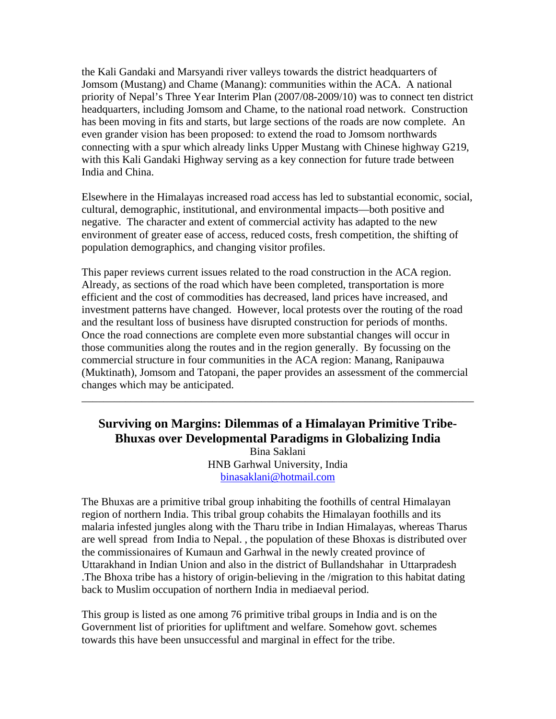the Kali Gandaki and Marsyandi river valleys towards the district headquarters of Jomsom (Mustang) and Chame (Manang): communities within the ACA. A national priority of Nepal's Three Year Interim Plan (2007/08-2009/10) was to connect ten district headquarters, including Jomsom and Chame, to the national road network. Construction has been moving in fits and starts, but large sections of the roads are now complete. An even grander vision has been proposed: to extend the road to Jomsom northwards connecting with a spur which already links Upper Mustang with Chinese highway G219, with this Kali Gandaki Highway serving as a key connection for future trade between India and China.

Elsewhere in the Himalayas increased road access has led to substantial economic, social, cultural, demographic, institutional, and environmental impacts—both positive and negative. The character and extent of commercial activity has adapted to the new environment of greater ease of access, reduced costs, fresh competition, the shifting of population demographics, and changing visitor profiles.

This paper reviews current issues related to the road construction in the ACA region. Already, as sections of the road which have been completed, transportation is more efficient and the cost of commodities has decreased, land prices have increased, and investment patterns have changed. However, local protests over the routing of the road and the resultant loss of business have disrupted construction for periods of months. Once the road connections are complete even more substantial changes will occur in those communities along the routes and in the region generally. By focussing on the commercial structure in four communities in the ACA region: Manang, Ranipauwa (Muktinath), Jomsom and Tatopani, the paper provides an assessment of the commercial changes which may be anticipated.

## **Surviving on Margins: Dilemmas of a Himalayan Primitive Tribe-Bhuxas over Developmental Paradigms in Globalizing India**

\_\_\_\_\_\_\_\_\_\_\_\_\_\_\_\_\_\_\_\_\_\_\_\_\_\_\_\_\_\_\_\_\_\_\_\_\_\_\_\_\_\_\_\_\_\_\_\_\_\_\_\_\_\_\_\_\_\_\_\_\_\_\_\_\_\_\_\_\_\_\_\_

Bina Saklani HNB Garhwal University, India binasaklani@hotmail.com

The Bhuxas are a primitive tribal group inhabiting the foothills of central Himalayan region of northern India. This tribal group cohabits the Himalayan foothills and its malaria infested jungles along with the Tharu tribe in Indian Himalayas, whereas Tharus are well spread from India to Nepal. , the population of these Bhoxas is distributed over the commissionaires of Kumaun and Garhwal in the newly created province of Uttarakhand in Indian Union and also in the district of Bullandshahar in Uttarpradesh .The Bhoxa tribe has a history of origin-believing in the /migration to this habitat dating back to Muslim occupation of northern India in mediaeval period.

This group is listed as one among 76 primitive tribal groups in India and is on the Government list of priorities for upliftment and welfare. Somehow govt. schemes towards this have been unsuccessful and marginal in effect for the tribe.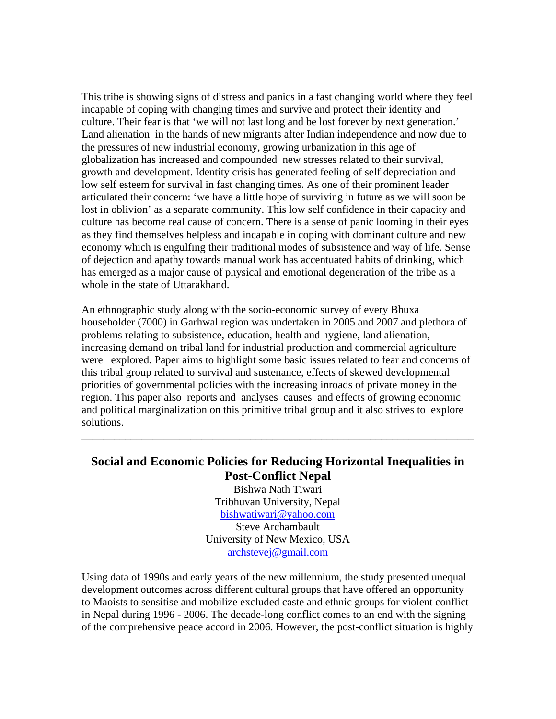This tribe is showing signs of distress and panics in a fast changing world where they feel incapable of coping with changing times and survive and protect their identity and culture. Their fear is that 'we will not last long and be lost forever by next generation.' Land alienation in the hands of new migrants after Indian independence and now due to the pressures of new industrial economy, growing urbanization in this age of globalization has increased and compounded new stresses related to their survival, growth and development. Identity crisis has generated feeling of self depreciation and low self esteem for survival in fast changing times. As one of their prominent leader articulated their concern: 'we have a little hope of surviving in future as we will soon be lost in oblivion' as a separate community. This low self confidence in their capacity and culture has become real cause of concern. There is a sense of panic looming in their eyes as they find themselves helpless and incapable in coping with dominant culture and new economy which is engulfing their traditional modes of subsistence and way of life. Sense of dejection and apathy towards manual work has accentuated habits of drinking, which has emerged as a major cause of physical and emotional degeneration of the tribe as a whole in the state of Uttarakhand.

An ethnographic study along with the socio-economic survey of every Bhuxa householder (7000) in Garhwal region was undertaken in 2005 and 2007 and plethora of problems relating to subsistence, education, health and hygiene, land alienation, increasing demand on tribal land for industrial production and commercial agriculture were explored. Paper aims to highlight some basic issues related to fear and concerns of this tribal group related to survival and sustenance, effects of skewed developmental priorities of governmental policies with the increasing inroads of private money in the region. This paper also reports and analyses causes and effects of growing economic and political marginalization on this primitive tribal group and it also strives to explore solutions.

### **Social and Economic Policies for Reducing Horizontal Inequalities in Post-Conflict Nepal**

\_\_\_\_\_\_\_\_\_\_\_\_\_\_\_\_\_\_\_\_\_\_\_\_\_\_\_\_\_\_\_\_\_\_\_\_\_\_\_\_\_\_\_\_\_\_\_\_\_\_\_\_\_\_\_\_\_\_\_\_\_\_\_\_\_\_\_\_\_\_\_\_

Bishwa Nath Tiwari Tribhuvan University, Nepal bishwatiwari@yahoo.com Steve Archambault University of New Mexico, USA archstevej@gmail.com

Using data of 1990s and early years of the new millennium, the study presented unequal development outcomes across different cultural groups that have offered an opportunity to Maoists to sensitise and mobilize excluded caste and ethnic groups for violent conflict in Nepal during 1996 - 2006. The decade-long conflict comes to an end with the signing of the comprehensive peace accord in 2006. However, the post-conflict situation is highly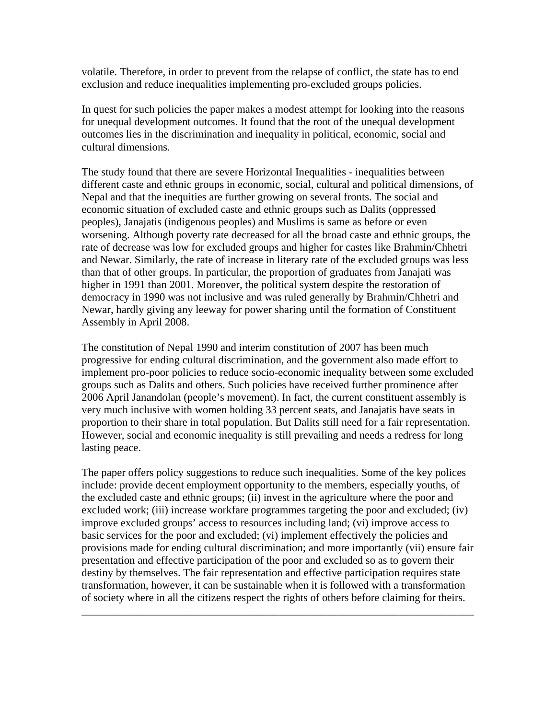volatile. Therefore, in order to prevent from the relapse of conflict, the state has to end exclusion and reduce inequalities implementing pro-excluded groups policies.

In quest for such policies the paper makes a modest attempt for looking into the reasons for unequal development outcomes. It found that the root of the unequal development outcomes lies in the discrimination and inequality in political, economic, social and cultural dimensions.

The study found that there are severe Horizontal Inequalities - inequalities between different caste and ethnic groups in economic, social, cultural and political dimensions, of Nepal and that the inequities are further growing on several fronts. The social and economic situation of excluded caste and ethnic groups such as Dalits (oppressed peoples), Janajatis (indigenous peoples) and Muslims is same as before or even worsening. Although poverty rate decreased for all the broad caste and ethnic groups, the rate of decrease was low for excluded groups and higher for castes like Brahmin/Chhetri and Newar. Similarly, the rate of increase in literary rate of the excluded groups was less than that of other groups. In particular, the proportion of graduates from Janajati was higher in 1991 than 2001. Moreover, the political system despite the restoration of democracy in 1990 was not inclusive and was ruled generally by Brahmin/Chhetri and Newar, hardly giving any leeway for power sharing until the formation of Constituent Assembly in April 2008.

The constitution of Nepal 1990 and interim constitution of 2007 has been much progressive for ending cultural discrimination, and the government also made effort to implement pro-poor policies to reduce socio-economic inequality between some excluded groups such as Dalits and others. Such policies have received further prominence after 2006 April Janandolan (people's movement). In fact, the current constituent assembly is very much inclusive with women holding 33 percent seats, and Janajatis have seats in proportion to their share in total population. But Dalits still need for a fair representation. However, social and economic inequality is still prevailing and needs a redress for long lasting peace.

The paper offers policy suggestions to reduce such inequalities. Some of the key polices include: provide decent employment opportunity to the members, especially youths, of the excluded caste and ethnic groups; (ii) invest in the agriculture where the poor and excluded work; (iii) increase workfare programmes targeting the poor and excluded; (iv) improve excluded groups' access to resources including land; (vi) improve access to basic services for the poor and excluded; (vi) implement effectively the policies and provisions made for ending cultural discrimination; and more importantly (vii) ensure fair presentation and effective participation of the poor and excluded so as to govern their destiny by themselves. The fair representation and effective participation requires state transformation, however, it can be sustainable when it is followed with a transformation of society where in all the citizens respect the rights of others before claiming for theirs.

\_\_\_\_\_\_\_\_\_\_\_\_\_\_\_\_\_\_\_\_\_\_\_\_\_\_\_\_\_\_\_\_\_\_\_\_\_\_\_\_\_\_\_\_\_\_\_\_\_\_\_\_\_\_\_\_\_\_\_\_\_\_\_\_\_\_\_\_\_\_\_\_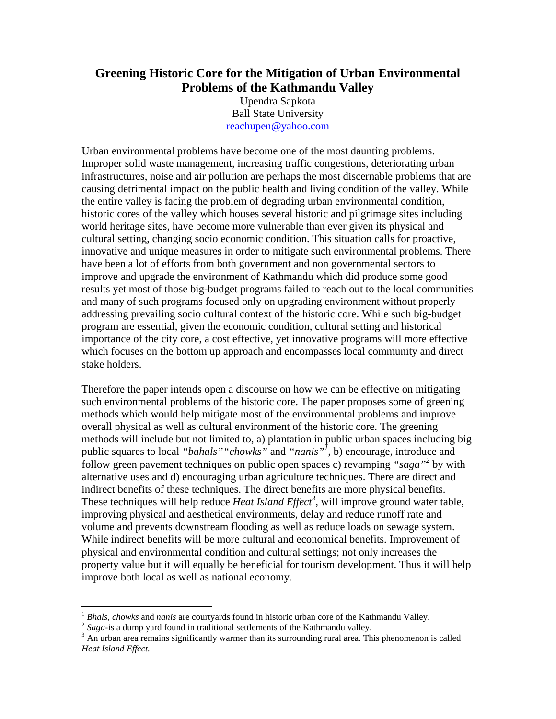## **Greening Historic Core for the Mitigation of Urban Environmental Problems of the Kathmandu Valley**

Upendra Sapkota Ball State University reachupen@yahoo.com

Urban environmental problems have become one of the most daunting problems. Improper solid waste management, increasing traffic congestions, deteriorating urban infrastructures, noise and air pollution are perhaps the most discernable problems that are causing detrimental impact on the public health and living condition of the valley. While the entire valley is facing the problem of degrading urban environmental condition, historic cores of the valley which houses several historic and pilgrimage sites including world heritage sites, have become more vulnerable than ever given its physical and cultural setting, changing socio economic condition. This situation calls for proactive, innovative and unique measures in order to mitigate such environmental problems. There have been a lot of efforts from both government and non governmental sectors to improve and upgrade the environment of Kathmandu which did produce some good results yet most of those big-budget programs failed to reach out to the local communities and many of such programs focused only on upgrading environment without properly addressing prevailing socio cultural context of the historic core. While such big-budget program are essential, given the economic condition, cultural setting and historical importance of the city core, a cost effective, yet innovative programs will more effective which focuses on the bottom up approach and encompasses local community and direct stake holders.

Therefore the paper intends open a discourse on how we can be effective on mitigating such environmental problems of the historic core. The paper proposes some of greening methods which would help mitigate most of the environmental problems and improve overall physical as well as cultural environment of the historic core. The greening methods will include but not limited to, a) plantation in public urban spaces including big public squares to local *"bahals""chowks"* and *"nanis"1 ,* b) encourage, introduce and follow green pavement techniques on public open spaces c) revamping *"saga"2* by with alternative uses and d) encouraging urban agriculture techniques. There are direct and indirect benefits of these techniques. The direct benefits are more physical benefits. These techniques will help reduce *Heat Island Effect<sup>3</sup>*, will improve ground water table, improving physical and aesthetical environments, delay and reduce runoff rate and volume and prevents downstream flooding as well as reduce loads on sewage system. While indirect benefits will be more cultural and economical benefits. Improvement of physical and environmental condition and cultural settings; not only increases the property value but it will equally be beneficial for tourism development. Thus it will help improve both local as well as national economy.

 $1$  Bhals, chowks and nanis are courty and found in historic urban core of the Kathmandu Valley.

*Phalis, chowne and namis are complied in traditional settlements of the Kathmandu valley.* <sup>2</sup> *Saga*-is a dump yard found in traditional settlements of the Kathmandu valley.

<sup>&</sup>lt;sup>3</sup> An urban area remains significantly warmer than its surrounding rural area. This phenomenon is called *Heat Island Effect.*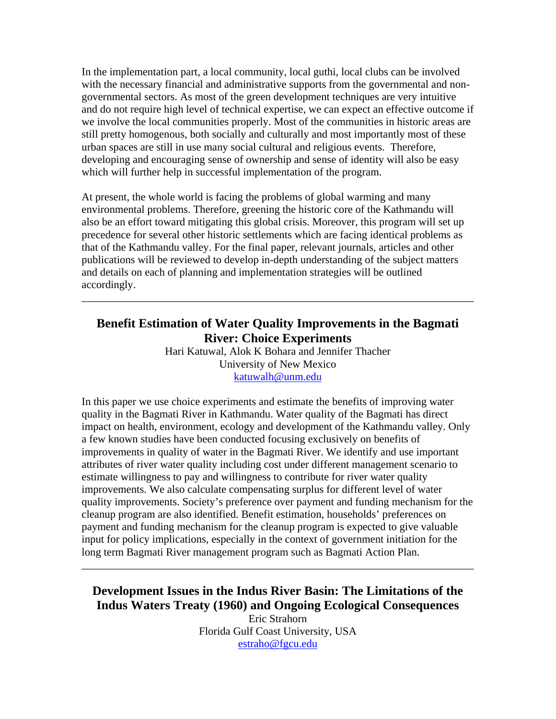In the implementation part, a local community, local guthi*,* local clubs can be involved with the necessary financial and administrative supports from the governmental and nongovernmental sectors. As most of the green development techniques are very intuitive and do not require high level of technical expertise, we can expect an effective outcome if we involve the local communities properly. Most of the communities in historic areas are still pretty homogenous, both socially and culturally and most importantly most of these urban spaces are still in use many social cultural and religious events. Therefore, developing and encouraging sense of ownership and sense of identity will also be easy which will further help in successful implementation of the program.

At present, the whole world is facing the problems of global warming and many environmental problems. Therefore, greening the historic core of the Kathmandu will also be an effort toward mitigating this global crisis. Moreover, this program will set up precedence for several other historic settlements which are facing identical problems as that of the Kathmandu valley. For the final paper, relevant journals, articles and other publications will be reviewed to develop in-depth understanding of the subject matters and details on each of planning and implementation strategies will be outlined accordingly.

## **Benefit Estimation of Water Quality Improvements in the Bagmati River: Choice Experiments**

\_\_\_\_\_\_\_\_\_\_\_\_\_\_\_\_\_\_\_\_\_\_\_\_\_\_\_\_\_\_\_\_\_\_\_\_\_\_\_\_\_\_\_\_\_\_\_\_\_\_\_\_\_\_\_\_\_\_\_\_\_\_\_\_\_\_\_\_\_\_\_\_

Hari Katuwal, Alok K Bohara and Jennifer Thacher University of New Mexico katuwalh@unm.edu

In this paper we use choice experiments and estimate the benefits of improving water quality in the Bagmati River in Kathmandu. Water quality of the Bagmati has direct impact on health, environment, ecology and development of the Kathmandu valley. Only a few known studies have been conducted focusing exclusively on benefits of improvements in quality of water in the Bagmati River. We identify and use important attributes of river water quality including cost under different management scenario to estimate willingness to pay and willingness to contribute for river water quality improvements. We also calculate compensating surplus for different level of water quality improvements. Society's preference over payment and funding mechanism for the cleanup program are also identified. Benefit estimation, households' preferences on payment and funding mechanism for the cleanup program is expected to give valuable input for policy implications, especially in the context of government initiation for the long term Bagmati River management program such as Bagmati Action Plan.

## **Development Issues in the Indus River Basin: The Limitations of the Indus Waters Treaty (1960) and Ongoing Ecological Consequences**

\_\_\_\_\_\_\_\_\_\_\_\_\_\_\_\_\_\_\_\_\_\_\_\_\_\_\_\_\_\_\_\_\_\_\_\_\_\_\_\_\_\_\_\_\_\_\_\_\_\_\_\_\_\_\_\_\_\_\_\_\_\_\_\_\_\_\_\_\_\_\_\_

Eric Strahorn Florida Gulf Coast University, USA estraho@fgcu.edu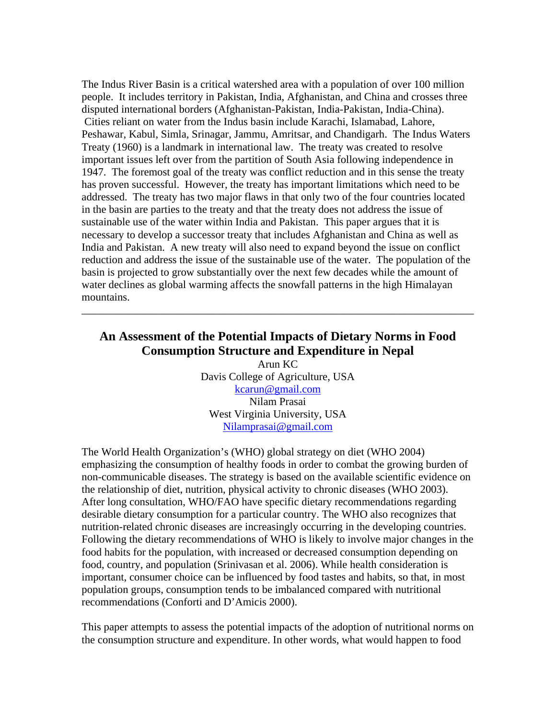The Indus River Basin is a critical watershed area with a population of over 100 million people. It includes territory in Pakistan, India, Afghanistan, and China and crosses three disputed international borders (Afghanistan-Pakistan, India-Pakistan, India-China). Cities reliant on water from the Indus basin include Karachi, Islamabad, Lahore, Peshawar, Kabul, Simla, Srinagar, Jammu, Amritsar, and Chandigarh. The Indus Waters Treaty (1960) is a landmark in international law. The treaty was created to resolve important issues left over from the partition of South Asia following independence in 1947. The foremost goal of the treaty was conflict reduction and in this sense the treaty has proven successful. However, the treaty has important limitations which need to be addressed. The treaty has two major flaws in that only two of the four countries located in the basin are parties to the treaty and that the treaty does not address the issue of sustainable use of the water within India and Pakistan. This paper argues that it is necessary to develop a successor treaty that includes Afghanistan and China as well as India and Pakistan. A new treaty will also need to expand beyond the issue on conflict reduction and address the issue of the sustainable use of the water. The population of the basin is projected to grow substantially over the next few decades while the amount of water declines as global warming affects the snowfall patterns in the high Himalayan mountains.

## **An Assessment of the Potential Impacts of Dietary Norms in Food Consumption Structure and Expenditure in Nepal**

\_\_\_\_\_\_\_\_\_\_\_\_\_\_\_\_\_\_\_\_\_\_\_\_\_\_\_\_\_\_\_\_\_\_\_\_\_\_\_\_\_\_\_\_\_\_\_\_\_\_\_\_\_\_\_\_\_\_\_\_\_\_\_\_\_\_\_\_\_\_\_\_

Arun KC Davis College of Agriculture, USA kcarun@gmail.com Nilam Prasai West Virginia University, USA Nilamprasai@gmail.com

The World Health Organization's (WHO) global strategy on diet (WHO 2004) emphasizing the consumption of healthy foods in order to combat the growing burden of non-communicable diseases. The strategy is based on the available scientific evidence on the relationship of diet, nutrition, physical activity to chronic diseases (WHO 2003). After long consultation, WHO/FAO have specific dietary recommendations regarding desirable dietary consumption for a particular country. The WHO also recognizes that nutrition-related chronic diseases are increasingly occurring in the developing countries. Following the dietary recommendations of WHO is likely to involve major changes in the food habits for the population, with increased or decreased consumption depending on food, country, and population (Srinivasan et al. 2006). While health consideration is important, consumer choice can be influenced by food tastes and habits, so that, in most population groups, consumption tends to be imbalanced compared with nutritional recommendations (Conforti and D'Amicis 2000).

This paper attempts to assess the potential impacts of the adoption of nutritional norms on the consumption structure and expenditure. In other words, what would happen to food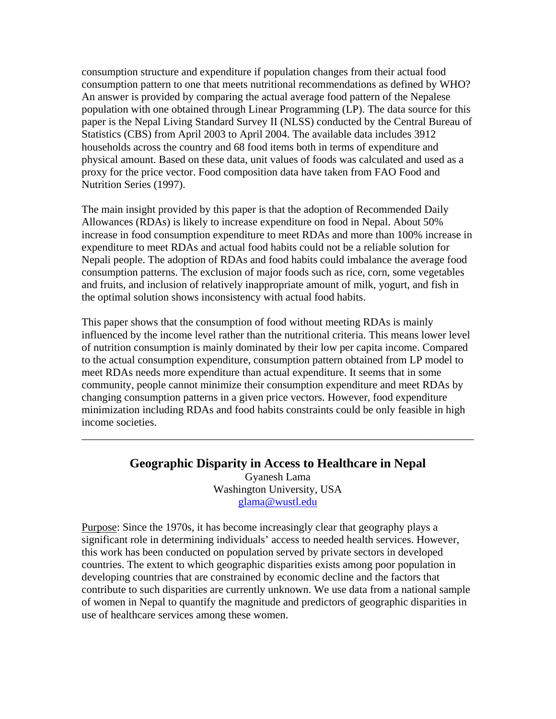consumption structure and expenditure if population changes from their actual food consumption pattern to one that meets nutritional recommendations as defined by WHO? An answer is provided by comparing the actual average food pattern of the Nepalese population with one obtained through Linear Programming (LP). The data source for this paper is the Nepal Living Standard Survey II (NLSS) conducted by the Central Bureau of Statistics (CBS) from April 2003 to April 2004. The available data includes 3912 households across the country and 68 food items both in terms of expenditure and physical amount. Based on these data, unit values of foods was calculated and used as a proxy for the price vector. Food composition data have taken from FAO Food and Nutrition Series (1997).

The main insight provided by this paper is that the adoption of Recommended Daily Allowances (RDAs) is likely to increase expenditure on food in Nepal. About 50% increase in food consumption expenditure to meet RDAs and more than 100% increase in expenditure to meet RDAs and actual food habits could not be a reliable solution for Nepali people. The adoption of RDAs and food habits could imbalance the average food consumption patterns. The exclusion of major foods such as rice, corn, some vegetables and fruits, and inclusion of relatively inappropriate amount of milk, yogurt, and fish in the optimal solution shows inconsistency with actual food habits.

This paper shows that the consumption of food without meeting RDAs is mainly influenced by the income level rather than the nutritional criteria. This means lower level of nutrition consumption is mainly dominated by their low per capita income. Compared to the actual consumption expenditure, consumption pattern obtained from LP model to meet RDAs needs more expenditure than actual expenditure. It seems that in some community, people cannot minimize their consumption expenditure and meet RDAs by changing consumption patterns in a given price vectors. However, food expenditure minimization including RDAs and food habits constraints could be only feasible in high income societies.

### **Geographic Disparity in Access to Healthcare in Nepal**

\_\_\_\_\_\_\_\_\_\_\_\_\_\_\_\_\_\_\_\_\_\_\_\_\_\_\_\_\_\_\_\_\_\_\_\_\_\_\_\_\_\_\_\_\_\_\_\_\_\_\_\_\_\_\_\_\_\_\_\_\_\_\_\_\_\_\_\_\_\_\_\_

Gyanesh Lama Washington University, USA glama@wustl.edu

Purpose: Since the 1970s, it has become increasingly clear that geography plays a significant role in determining individuals' access to needed health services. However, this work has been conducted on population served by private sectors in developed countries. The extent to which geographic disparities exists among poor population in developing countries that are constrained by economic decline and the factors that contribute to such disparities are currently unknown. We use data from a national sample of women in Nepal to quantify the magnitude and predictors of geographic disparities in use of healthcare services among these women.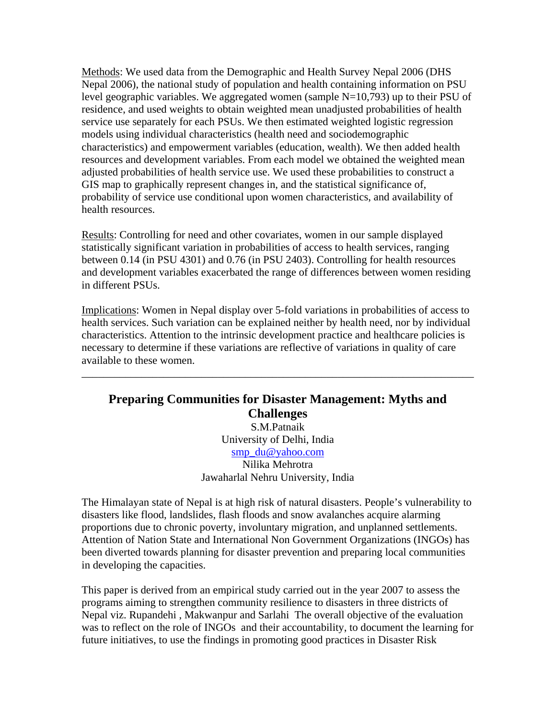Methods: We used data from the Demographic and Health Survey Nepal 2006 (DHS Nepal 2006), the national study of population and health containing information on PSU level geographic variables. We aggregated women (sample N=10,793) up to their PSU of residence, and used weights to obtain weighted mean unadjusted probabilities of health service use separately for each PSUs. We then estimated weighted logistic regression models using individual characteristics (health need and sociodemographic characteristics) and empowerment variables (education, wealth). We then added health resources and development variables. From each model we obtained the weighted mean adjusted probabilities of health service use. We used these probabilities to construct a GIS map to graphically represent changes in, and the statistical significance of, probability of service use conditional upon women characteristics, and availability of health resources.

Results: Controlling for need and other covariates, women in our sample displayed statistically significant variation in probabilities of access to health services, ranging between 0.14 (in PSU 4301) and 0.76 (in PSU 2403). Controlling for health resources and development variables exacerbated the range of differences between women residing in different PSUs.

Implications: Women in Nepal display over 5-fold variations in probabilities of access to health services. Such variation can be explained neither by health need, nor by individual characteristics. Attention to the intrinsic development practice and healthcare policies is necessary to determine if these variations are reflective of variations in quality of care available to these women.

\_\_\_\_\_\_\_\_\_\_\_\_\_\_\_\_\_\_\_\_\_\_\_\_\_\_\_\_\_\_\_\_\_\_\_\_\_\_\_\_\_\_\_\_\_\_\_\_\_\_\_\_\_\_\_\_\_\_\_\_\_\_\_\_\_\_\_\_\_\_\_\_

### **Preparing Communities for Disaster Management: Myths and Challenges**  S.M.Patnaik University of Delhi, India smp\_du@yahoo.com Nilika Mehrotra

Jawaharlal Nehru University, India

The Himalayan state of Nepal is at high risk of natural disasters. People's vulnerability to disasters like flood, landslides, flash floods and snow avalanches acquire alarming proportions due to chronic poverty, involuntary migration, and unplanned settlements. Attention of Nation State and International Non Government Organizations (INGOs) has been diverted towards planning for disaster prevention and preparing local communities in developing the capacities.

This paper is derived from an empirical study carried out in the year 2007 to assess the programs aiming to strengthen community resilience to disasters in three districts of Nepal viz. Rupandehi , Makwanpur and Sarlahi The overall objective of the evaluation was to reflect on the role of INGOs and their accountability, to document the learning for future initiatives, to use the findings in promoting good practices in Disaster Risk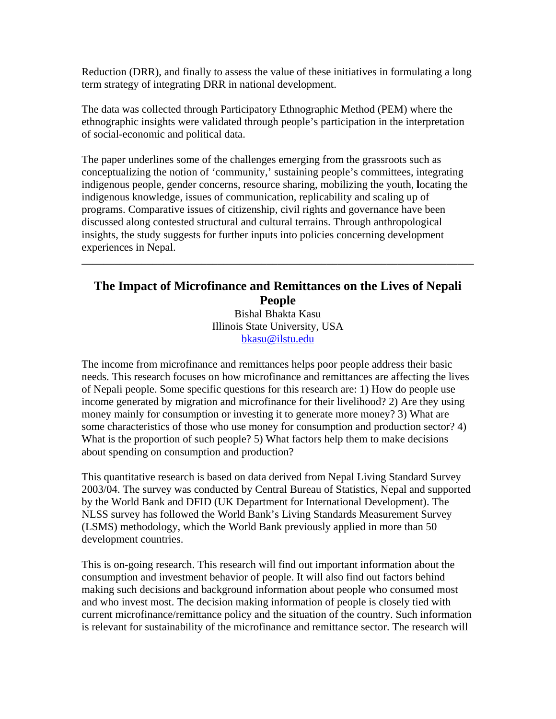Reduction (DRR), and finally to assess the value of these initiatives in formulating a long term strategy of integrating DRR in national development.

The data was collected through Participatory Ethnographic Method (PEM) where the ethnographic insights were validated through people's participation in the interpretation of social-economic and political data.

The paper underlines some of the challenges emerging from the grassroots such as conceptualizing the notion of 'community,' sustaining people's committees, integrating indigenous people, gender concerns, resource sharing, mobilizing the youth, **l**ocating the indigenous knowledge, issues of communication, replicability and scaling up of programs. Comparative issues of citizenship, civil rights and governance have been discussed along contested structural and cultural terrains. Through anthropological insights, the study suggests for further inputs into policies concerning development experiences in Nepal.

### **The Impact of Microfinance and Remittances on the Lives of Nepali People**  Bishal Bhakta Kasu

\_\_\_\_\_\_\_\_\_\_\_\_\_\_\_\_\_\_\_\_\_\_\_\_\_\_\_\_\_\_\_\_\_\_\_\_\_\_\_\_\_\_\_\_\_\_\_\_\_\_\_\_\_\_\_\_\_\_\_\_\_\_\_\_\_\_\_\_\_\_\_\_

Illinois State University, USA bkasu@ilstu.edu

The income from microfinance and remittances helps poor people address their basic needs. This research focuses on how microfinance and remittances are affecting the lives of Nepali people. Some specific questions for this research are: 1) How do people use income generated by migration and microfinance for their livelihood? 2) Are they using money mainly for consumption or investing it to generate more money? 3) What are some characteristics of those who use money for consumption and production sector? 4) What is the proportion of such people? 5) What factors help them to make decisions about spending on consumption and production?

This quantitative research is based on data derived from Nepal Living Standard Survey 2003/04. The survey was conducted by Central Bureau of Statistics, Nepal and supported by the World Bank and DFID (UK Department for International Development). The NLSS survey has followed the World Bank's Living Standards Measurement Survey (LSMS) methodology, which the World Bank previously applied in more than 50 development countries.

This is on-going research. This research will find out important information about the consumption and investment behavior of people. It will also find out factors behind making such decisions and background information about people who consumed most and who invest most. The decision making information of people is closely tied with current microfinance/remittance policy and the situation of the country. Such information is relevant for sustainability of the microfinance and remittance sector. The research will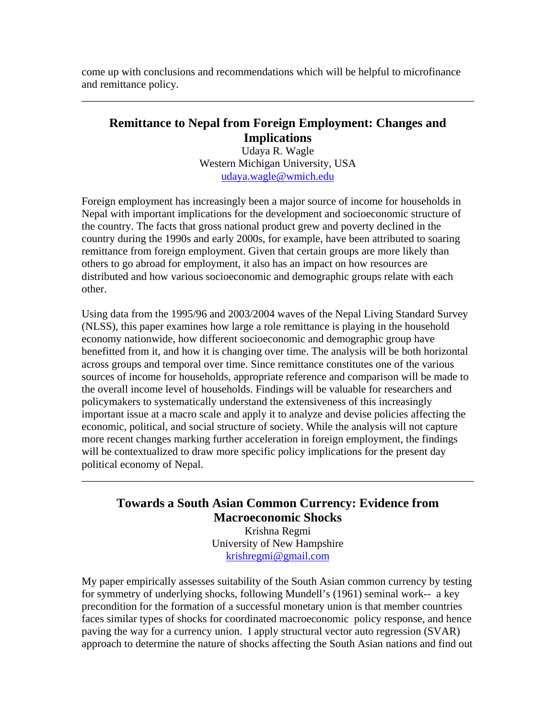come up with conclusions and recommendations which will be helpful to microfinance and remittance policy.

### **Remittance to Nepal from Foreign Employment: Changes and Implications**

\_\_\_\_\_\_\_\_\_\_\_\_\_\_\_\_\_\_\_\_\_\_\_\_\_\_\_\_\_\_\_\_\_\_\_\_\_\_\_\_\_\_\_\_\_\_\_\_\_\_\_\_\_\_\_\_\_\_\_\_\_\_\_\_\_\_\_\_\_\_\_\_

Udaya R. Wagle Western Michigan University, USA udaya.wagle@wmich.edu

Foreign employment has increasingly been a major source of income for households in Nepal with important implications for the development and socioeconomic structure of the country. The facts that gross national product grew and poverty declined in the country during the 1990s and early 2000s, for example, have been attributed to soaring remittance from foreign employment. Given that certain groups are more likely than others to go abroad for employment, it also has an impact on how resources are distributed and how various socioeconomic and demographic groups relate with each other.

Using data from the 1995/96 and 2003/2004 waves of the Nepal Living Standard Survey (NLSS), this paper examines how large a role remittance is playing in the household economy nationwide, how different socioeconomic and demographic group have benefitted from it, and how it is changing over time. The analysis will be both horizontal across groups and temporal over time. Since remittance constitutes one of the various sources of income for households, appropriate reference and comparison will be made to the overall income level of households. Findings will be valuable for researchers and policymakers to systematically understand the extensiveness of this increasingly important issue at a macro scale and apply it to analyze and devise policies affecting the economic, political, and social structure of society. While the analysis will not capture more recent changes marking further acceleration in foreign employment, the findings will be contextualized to draw more specific policy implications for the present day political economy of Nepal.

## **Towards a South Asian Common Currency: Evidence from Macroeconomic Shocks**

\_\_\_\_\_\_\_\_\_\_\_\_\_\_\_\_\_\_\_\_\_\_\_\_\_\_\_\_\_\_\_\_\_\_\_\_\_\_\_\_\_\_\_\_\_\_\_\_\_\_\_\_\_\_\_\_\_\_\_\_\_\_\_\_\_\_\_\_\_\_\_\_

Krishna Regmi University of New Hampshire krishregmi@gmail.com

My paper empirically assesses suitability of the South Asian common currency by testing for symmetry of underlying shocks, following Mundell's (1961) seminal work-- a key precondition for the formation of a successful monetary union is that member countries faces similar types of shocks for coordinated macroeconomic policy response, and hence paving the way for a currency union. I apply structural vector auto regression (SVAR) approach to determine the nature of shocks affecting the South Asian nations and find out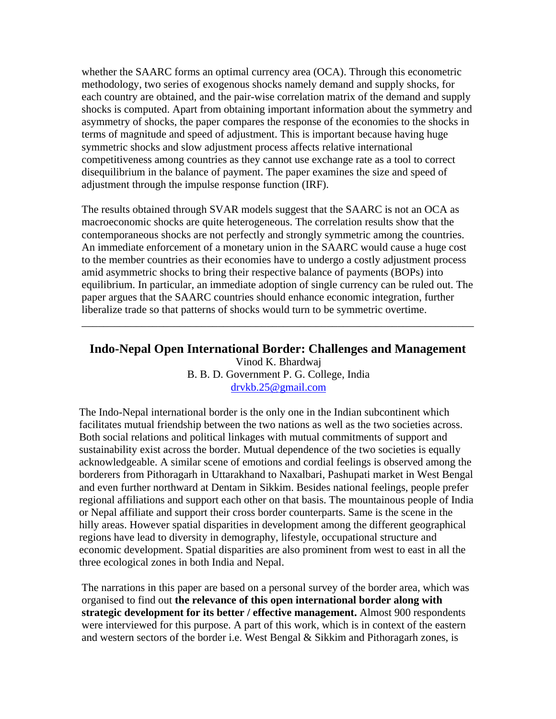whether the SAARC forms an optimal currency area (OCA). Through this econometric methodology, two series of exogenous shocks namely demand and supply shocks, for each country are obtained, and the pair-wise correlation matrix of the demand and supply shocks is computed. Apart from obtaining important information about the symmetry and asymmetry of shocks, the paper compares the response of the economies to the shocks in terms of magnitude and speed of adjustment. This is important because having huge symmetric shocks and slow adjustment process affects relative international competitiveness among countries as they cannot use exchange rate as a tool to correct disequilibrium in the balance of payment. The paper examines the size and speed of adjustment through the impulse response function (IRF).

The results obtained through SVAR models suggest that the SAARC is not an OCA as macroeconomic shocks are quite heterogeneous. The correlation results show that the contemporaneous shocks are not perfectly and strongly symmetric among the countries. An immediate enforcement of a monetary union in the SAARC would cause a huge cost to the member countries as their economies have to undergo a costly adjustment process amid asymmetric shocks to bring their respective balance of payments (BOPs) into equilibrium. In particular, an immediate adoption of single currency can be ruled out. The paper argues that the SAARC countries should enhance economic integration, further liberalize trade so that patterns of shocks would turn to be symmetric overtime.

#### **Indo-Nepal Open International Border: Challenges and Management**

\_\_\_\_\_\_\_\_\_\_\_\_\_\_\_\_\_\_\_\_\_\_\_\_\_\_\_\_\_\_\_\_\_\_\_\_\_\_\_\_\_\_\_\_\_\_\_\_\_\_\_\_\_\_\_\_\_\_\_\_\_\_\_\_\_\_\_\_\_\_\_\_

Vinod K. Bhardwaj B. B. D. Government P. G. College, India drvkb.25@gmail.com

The Indo-Nepal international border is the only one in the Indian subcontinent which facilitates mutual friendship between the two nations as well as the two societies across. Both social relations and political linkages with mutual commitments of support and sustainability exist across the border. Mutual dependence of the two societies is equally acknowledgeable. A similar scene of emotions and cordial feelings is observed among the borderers from Pithoragarh in Uttarakhand to Naxalbari, Pashupati market in West Bengal and even further northward at Dentam in Sikkim. Besides national feelings, people prefer regional affiliations and support each other on that basis. The mountainous people of India or Nepal affiliate and support their cross border counterparts. Same is the scene in the hilly areas. However spatial disparities in development among the different geographical regions have lead to diversity in demography, lifestyle, occupational structure and economic development. Spatial disparities are also prominent from west to east in all the three ecological zones in both India and Nepal.

The narrations in this paper are based on a personal survey of the border area, which was organised to find out **the relevance of this open international border along with strategic development for its better / effective management.** Almost 900 respondents were interviewed for this purpose. A part of this work, which is in context of the eastern and western sectors of the border i.e. West Bengal & Sikkim and Pithoragarh zones, is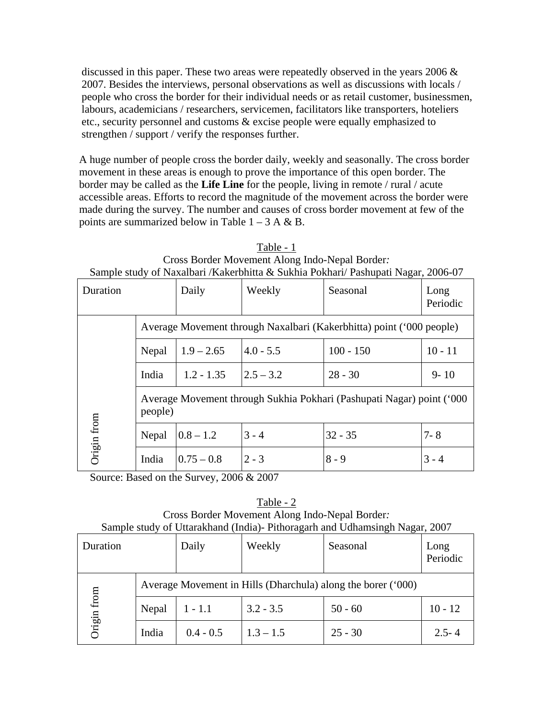discussed in this paper. These two areas were repeatedly observed in the years 2006 & 2007. Besides the interviews, personal observations as well as discussions with locals / people who cross the border for their individual needs or as retail customer, businessmen, labours, academicians / researchers, servicemen, facilitators like transporters, hoteliers etc., security personnel and customs & excise people were equally emphasized to strengthen / support / verify the responses further.

A huge number of people cross the border daily, weekly and seasonally. The cross border movement in these areas is enough to prove the importance of this open border. The border may be called as the **Life Line** for the people, living in remote / rural / acute accessible areas. Efforts to record the magnitude of the movement across the border were made during the survey. The number and causes of cross border movement at few of the points are summarized below in Table  $1 - 3$  A & B.

| Sample study of Inaxalbari / Kakefoliitta & Sukilla I okilah/ I ashupati Inagal, 2000-07 |                                                                                  |                |             |             |                  |  |
|------------------------------------------------------------------------------------------|----------------------------------------------------------------------------------|----------------|-------------|-------------|------------------|--|
| Duration                                                                                 |                                                                                  | Daily          | Weekly      | Seasonal    | Long<br>Periodic |  |
|                                                                                          | Average Movement through Naxalbari (Kakerbhitta) point ('000 people)             |                |             |             |                  |  |
|                                                                                          | Nepal                                                                            | $1.9 - 2.65$   | $4.0 - 5.5$ | $100 - 150$ | $10 - 11$        |  |
|                                                                                          | India                                                                            | $1.2 - 1.35$   | $2.5 - 3.2$ | $28 - 30$   | $9 - 10$         |  |
|                                                                                          | Average Movement through Sukhia Pokhari (Pashupati Nagar) point ('000<br>people) |                |             |             |                  |  |
| Origin from                                                                              | Nepal                                                                            | $0.8 - 1.2$    | $3 - 4$     | $32 - 35$   | $7 - 8$          |  |
|                                                                                          | India                                                                            | $ 0.75 - 0.8 $ | $2 - 3$     | $8 - 9$     | $3 - 4$          |  |

Table - 1 Cross Border Movement Along Indo-Nepal Border*:*  Sample study of Naxalbari /Kakerbhitta & Sukhia Pokhari/ Pashupati Nagar, 2006-07

Source: Based on the Survey, 2006 & 2007

Table - 2 Cross Border Movement Along Indo-Nepal Border*:*  Sample study of Uttarakhand (India)- Pithoragarh and Udhamsingh Nagar, 2007

| $\alpha$ $\beta$ $\alpha$ $\beta$ $\beta$ $\gamma$ $\alpha$ $\alpha$ $\alpha$ $\beta$ $\alpha$ $\beta$ $\alpha$ $\beta$ $\alpha$ $\beta$ $\alpha$ $\beta$ $\alpha$ $\beta$ $\alpha$ $\beta$ $\beta$ $\beta$ $\beta$ $\gamma$ $\beta$ $\gamma$ $\beta$ $\gamma$ $\beta$ $\gamma$ $\beta$ $\gamma$ $\beta$ $\gamma$ $\beta$ $\gamma$ $\beta$ $\gamma$ $\gamma$ $\gamma$ $\gamma$ $\gamma$<br>Duration |                                                              | Daily       | Weekly      | Seasonal  | Long<br>Periodic |
|-----------------------------------------------------------------------------------------------------------------------------------------------------------------------------------------------------------------------------------------------------------------------------------------------------------------------------------------------------------------------------------------------------|--------------------------------------------------------------|-------------|-------------|-----------|------------------|
|                                                                                                                                                                                                                                                                                                                                                                                                     | Average Movement in Hills (Dharchula) along the borer ('000) |             |             |           |                  |
| from                                                                                                                                                                                                                                                                                                                                                                                                | Nepal                                                        | $1 - 1.1$   | $3.2 - 3.5$ | $50 - 60$ | $10 - 12$        |
| Origin                                                                                                                                                                                                                                                                                                                                                                                              | India                                                        | $0.4 - 0.5$ | $1.3 - 1.5$ | $25 - 30$ | $2.5 - 4$        |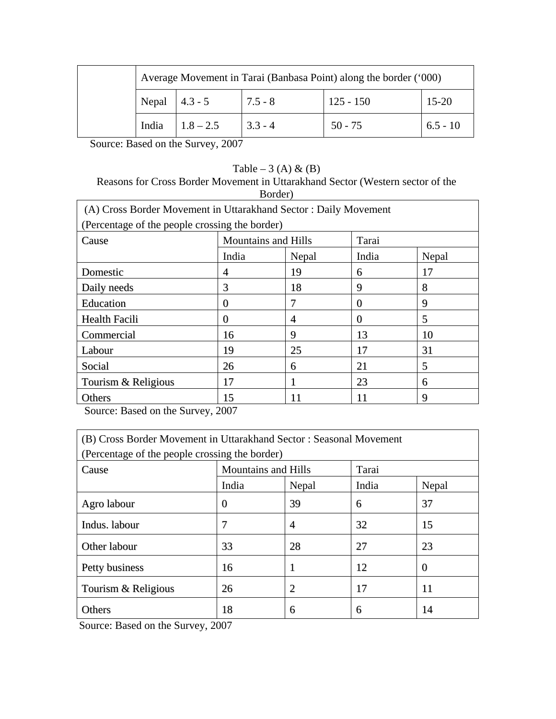|  |                  | Average Movement in Tarai (Banbasa Point) along the border ('000) |           |             |            |  |
|--|------------------|-------------------------------------------------------------------|-----------|-------------|------------|--|
|  | Nepal $ 4.3 - 5$ |                                                                   | $7.5 - 8$ | $125 - 150$ | $15-20$    |  |
|  | India            | $1.8 - 2.5$                                                       | $3.3 - 4$ | $50 - 75$   | $6.5 - 10$ |  |

Source: Based on the Survey, 2007

### Table – 3 (A)  $\&$  (B)

### Reasons for Cross Border Movement in Uttarakhand Sector (Western sector of the Border)

| (A) Cross Border Movement in Uttarakhand Sector: Daily Movement |                            |       |          |       |  |  |
|-----------------------------------------------------------------|----------------------------|-------|----------|-------|--|--|
| (Percentage of the people crossing the border)                  |                            |       |          |       |  |  |
| Cause                                                           | <b>Mountains and Hills</b> |       | Tarai    |       |  |  |
|                                                                 | India                      | Nepal | India    | Nepal |  |  |
| Domestic                                                        | 4                          | 19    | 6        | 17    |  |  |
| Daily needs                                                     | 3                          | 18    | 9        | 8     |  |  |
| Education                                                       | $\Omega$                   | 7     | $\theta$ | 9     |  |  |
| <b>Health Facili</b>                                            | 0                          | 4     | $\Omega$ | 5     |  |  |
| Commercial                                                      | 16                         | 9     | 13       | 10    |  |  |
| Labour                                                          | 19                         | 25    | 17       | 31    |  |  |
| Social                                                          | 26                         | 6     | 21       | 5     |  |  |
| Tourism & Religious                                             | 17                         |       | 23       | 6     |  |  |
| Others                                                          | 15                         | 11    | 11       | 9     |  |  |

Source: Based on the Survey, 2007

| (B) Cross Border Movement in Uttarakhand Sector : Seasonal Movement |                            |       |       |          |  |  |
|---------------------------------------------------------------------|----------------------------|-------|-------|----------|--|--|
| (Percentage of the people crossing the border)                      |                            |       |       |          |  |  |
| Cause                                                               | <b>Mountains and Hills</b> |       | Tarai |          |  |  |
|                                                                     | India                      | Nepal | India | Nepal    |  |  |
| Agro labour                                                         | $\Omega$                   | 39    | 6     | 37       |  |  |
| Indus. labour                                                       | 7                          | 4     | 32    | 15       |  |  |
| Other labour                                                        | 33                         | 28    | 27    | 23       |  |  |
| Petty business                                                      | 16                         |       | 12    | $\bf{0}$ |  |  |
| Tourism & Religious                                                 | 26                         | 2     | 17    | 11       |  |  |
| Others                                                              | 18                         | 6     | 6     | 14       |  |  |

Source: Based on the Survey, 2007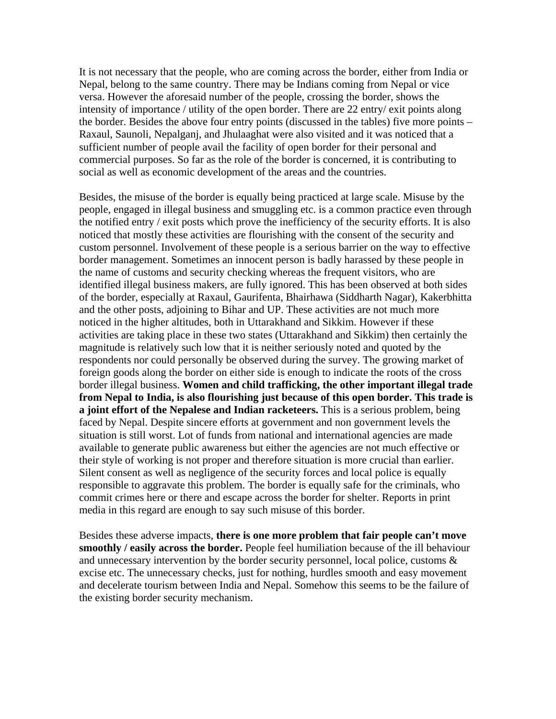It is not necessary that the people, who are coming across the border, either from India or Nepal, belong to the same country. There may be Indians coming from Nepal or vice versa. However the aforesaid number of the people, crossing the border, shows the intensity of importance / utility of the open border. There are 22 entry/ exit points along the border. Besides the above four entry points (discussed in the tables) five more points – Raxaul, Saunoli, Nepalganj, and Jhulaaghat were also visited and it was noticed that a sufficient number of people avail the facility of open border for their personal and commercial purposes. So far as the role of the border is concerned, it is contributing to social as well as economic development of the areas and the countries.

Besides, the misuse of the border is equally being practiced at large scale. Misuse by the people, engaged in illegal business and smuggling etc. is a common practice even through the notified entry / exit posts which prove the inefficiency of the security efforts. It is also noticed that mostly these activities are flourishing with the consent of the security and custom personnel. Involvement of these people is a serious barrier on the way to effective border management. Sometimes an innocent person is badly harassed by these people in the name of customs and security checking whereas the frequent visitors, who are identified illegal business makers, are fully ignored. This has been observed at both sides of the border, especially at Raxaul, Gaurifenta, Bhairhawa (Siddharth Nagar), Kakerbhitta and the other posts, adjoining to Bihar and UP. These activities are not much more noticed in the higher altitudes, both in Uttarakhand and Sikkim. However if these activities are taking place in these two states (Uttarakhand and Sikkim) then certainly the magnitude is relatively such low that it is neither seriously noted and quoted by the respondents nor could personally be observed during the survey. The growing market of foreign goods along the border on either side is enough to indicate the roots of the cross border illegal business. **Women and child trafficking, the other important illegal trade from Nepal to India, is also flourishing just because of this open border. This trade is a joint effort of the Nepalese and Indian racketeers.** This is a serious problem, being faced by Nepal. Despite sincere efforts at government and non government levels the situation is still worst. Lot of funds from national and international agencies are made available to generate public awareness but either the agencies are not much effective or their style of working is not proper and therefore situation is more crucial than earlier. Silent consent as well as negligence of the security forces and local police is equally responsible to aggravate this problem. The border is equally safe for the criminals, who commit crimes here or there and escape across the border for shelter. Reports in print media in this regard are enough to say such misuse of this border.

Besides these adverse impacts, **there is one more problem that fair people can't move smoothly / easily across the border.** People feel humiliation because of the ill behaviour and unnecessary intervention by the border security personnel, local police, customs & excise etc. The unnecessary checks, just for nothing, hurdles smooth and easy movement and decelerate tourism between India and Nepal. Somehow this seems to be the failure of the existing border security mechanism.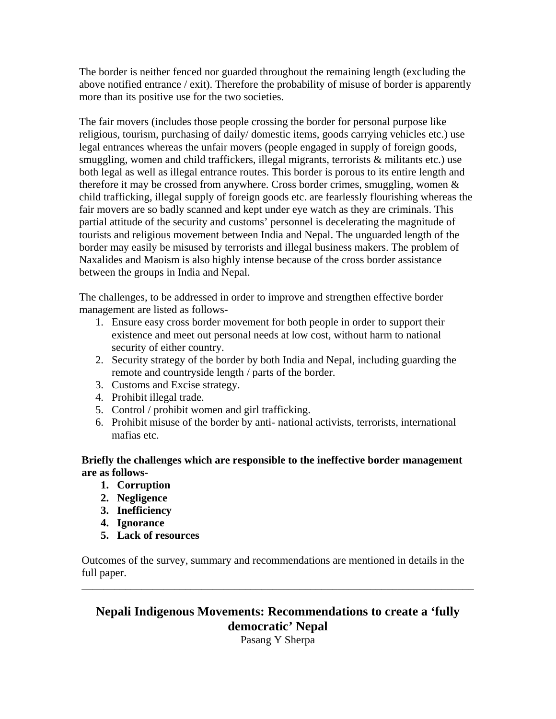The border is neither fenced nor guarded throughout the remaining length (excluding the above notified entrance / exit). Therefore the probability of misuse of border is apparently more than its positive use for the two societies.

The fair movers (includes those people crossing the border for personal purpose like religious, tourism, purchasing of daily/ domestic items, goods carrying vehicles etc.) use legal entrances whereas the unfair movers (people engaged in supply of foreign goods, smuggling, women and child traffickers, illegal migrants, terrorists & militants etc.) use both legal as well as illegal entrance routes. This border is porous to its entire length and therefore it may be crossed from anywhere. Cross border crimes, smuggling, women  $\&$ child trafficking, illegal supply of foreign goods etc. are fearlessly flourishing whereas the fair movers are so badly scanned and kept under eye watch as they are criminals. This partial attitude of the security and customs' personnel is decelerating the magnitude of tourists and religious movement between India and Nepal. The unguarded length of the border may easily be misused by terrorists and illegal business makers. The problem of Naxalides and Maoism is also highly intense because of the cross border assistance between the groups in India and Nepal.

The challenges, to be addressed in order to improve and strengthen effective border management are listed as follows-

- 1. Ensure easy cross border movement for both people in order to support their existence and meet out personal needs at low cost, without harm to national security of either country.
- 2. Security strategy of the border by both India and Nepal, including guarding the remote and countryside length / parts of the border.
- 3. Customs and Excise strategy.
- 4. Prohibit illegal trade.
- 5. Control / prohibit women and girl trafficking.
- 6. Prohibit misuse of the border by anti- national activists, terrorists, international mafias etc.

### **Briefly the challenges which are responsible to the ineffective border management are as follows-**

- **1. Corruption**
- **2. Negligence**
- **3. Inefficiency**
- **4. Ignorance**
- **5. Lack of resources**

Outcomes of the survey, summary and recommendations are mentioned in details in the full paper. \_\_\_\_\_\_\_\_\_\_\_\_\_\_\_\_\_\_\_\_\_\_\_\_\_\_\_\_\_\_\_\_\_\_\_\_\_\_\_\_\_\_\_\_\_\_\_\_\_\_\_\_\_\_\_\_\_\_\_\_\_\_\_\_\_\_\_\_\_\_\_\_

**Nepali Indigenous Movements: Recommendations to create a 'fully democratic' Nepal** 

Pasang Y Sherpa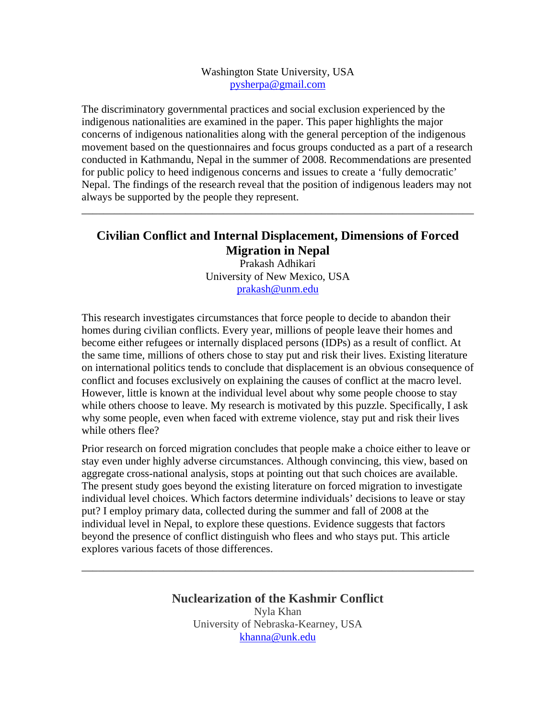#### Washington State University, USA pysherpa@gmail.com

The discriminatory governmental practices and social exclusion experienced by the indigenous nationalities are examined in the paper. This paper highlights the major concerns of indigenous nationalities along with the general perception of the indigenous movement based on the questionnaires and focus groups conducted as a part of a research conducted in Kathmandu, Nepal in the summer of 2008. Recommendations are presented for public policy to heed indigenous concerns and issues to create a 'fully democratic' Nepal. The findings of the research reveal that the position of indigenous leaders may not always be supported by the people they represent.

### **Civilian Conflict and Internal Displacement, Dimensions of Forced Migration in Nepal**

\_\_\_\_\_\_\_\_\_\_\_\_\_\_\_\_\_\_\_\_\_\_\_\_\_\_\_\_\_\_\_\_\_\_\_\_\_\_\_\_\_\_\_\_\_\_\_\_\_\_\_\_\_\_\_\_\_\_\_\_\_\_\_\_\_\_\_\_\_\_\_\_

Prakash Adhikari University of New Mexico, USA prakash@unm.edu

This research investigates circumstances that force people to decide to abandon their homes during civilian conflicts. Every year, millions of people leave their homes and become either refugees or internally displaced persons (IDPs) as a result of conflict. At the same time, millions of others chose to stay put and risk their lives. Existing literature on international politics tends to conclude that displacement is an obvious consequence of conflict and focuses exclusively on explaining the causes of conflict at the macro level. However, little is known at the individual level about why some people choose to stay while others choose to leave. My research is motivated by this puzzle. Specifically, I ask why some people, even when faced with extreme violence, stay put and risk their lives while others flee?

Prior research on forced migration concludes that people make a choice either to leave or stay even under highly adverse circumstances. Although convincing, this view, based on aggregate cross-national analysis, stops at pointing out that such choices are available. The present study goes beyond the existing literature on forced migration to investigate individual level choices. Which factors determine individuals' decisions to leave or stay put? I employ primary data, collected during the summer and fall of 2008 at the individual level in Nepal, to explore these questions. Evidence suggests that factors beyond the presence of conflict distinguish who flees and who stays put. This article explores various facets of those differences.

> **Nuclearization of the Kashmir Conflict**  Nyla Khan University of Nebraska-Kearney, USA khanna@unk.edu

\_\_\_\_\_\_\_\_\_\_\_\_\_\_\_\_\_\_\_\_\_\_\_\_\_\_\_\_\_\_\_\_\_\_\_\_\_\_\_\_\_\_\_\_\_\_\_\_\_\_\_\_\_\_\_\_\_\_\_\_\_\_\_\_\_\_\_\_\_\_\_\_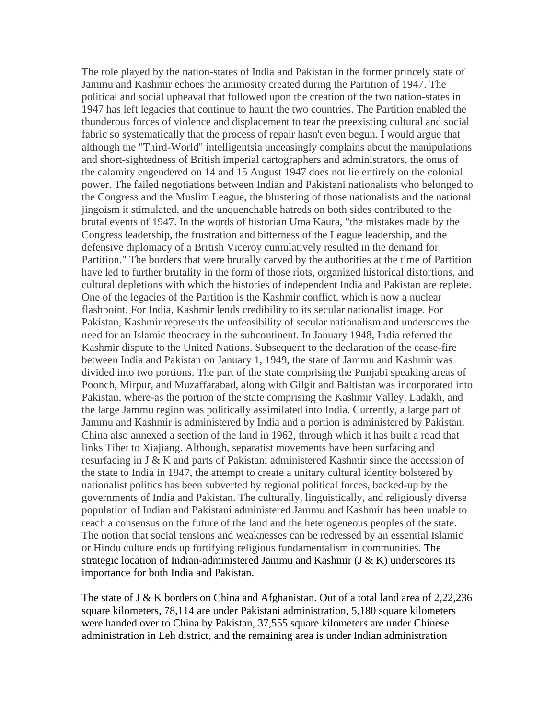The role played by the nation-states of India and Pakistan in the former princely state of Jammu and Kashmir echoes the animosity created during the Partition of 1947. The political and social upheaval that followed upon the creation of the two nation-states in 1947 has left legacies that continue to haunt the two countries. The Partition enabled the thunderous forces of violence and displacement to tear the preexisting cultural and social fabric so systematically that the process of repair hasn't even begun. I would argue that although the "Third-World" intelligentsia unceasingly complains about the manipulations and short-sightedness of British imperial cartographers and administrators, the onus of the calamity engendered on 14 and 15 August 1947 does not lie entirely on the colonial power. The failed negotiations between Indian and Pakistani nationalists who belonged to the Congress and the Muslim League, the blustering of those nationalists and the national jingoism it stimulated, and the unquenchable hatreds on both sides contributed to the brutal events of 1947. In the words of historian Uma Kaura, "the mistakes made by the Congress leadership, the frustration and bitterness of the League leadership, and the defensive diplomacy of a British Viceroy cumulatively resulted in the demand for Partition." The borders that were brutally carved by the authorities at the time of Partition have led to further brutality in the form of those riots, organized historical distortions, and cultural depletions with which the histories of independent India and Pakistan are replete. One of the legacies of the Partition is the Kashmir conflict, which is now a nuclear flashpoint. For India, Kashmir lends credibility to its secular nationalist image. For Pakistan, Kashmir represents the unfeasibility of secular nationalism and underscores the need for an Islamic theocracy in the subcontinent. In January 1948, India referred the Kashmir dispute to the United Nations. Subsequent to the declaration of the cease-fire between India and Pakistan on January 1, 1949, the state of Jammu and Kashmir was divided into two portions. The part of the state comprising the Punjabi speaking areas of Poonch, Mirpur, and Muzaffarabad, along with Gilgit and Baltistan was incorporated into Pakistan, where-as the portion of the state comprising the Kashmir Valley, Ladakh, and the large Jammu region was politically assimilated into India. Currently, a large part of Jammu and Kashmir is administered by India and a portion is administered by Pakistan. China also annexed a section of the land in 1962, through which it has built a road that links Tibet to Xiajiang. Although, separatist movements have been surfacing and resurfacing in J & K and parts of Pakistani administered Kashmir since the accession of the state to India in 1947, the attempt to create a unitary cultural identity bolstered by nationalist politics has been subverted by regional political forces, backed-up by the governments of India and Pakistan. The culturally, linguistically, and religiously diverse population of Indian and Pakistani administered Jammu and Kashmir has been unable to reach a consensus on the future of the land and the heterogeneous peoples of the state. The notion that social tensions and weaknesses can be redressed by an essential Islamic or Hindu culture ends up fortifying religious fundamentalism in communities. The strategic location of Indian-administered Jammu and Kashmir  $(J & K)$  underscores its importance for both India and Pakistan.

The state of J & K borders on China and Afghanistan. Out of a total land area of 2,22,236 square kilometers, 78,114 are under Pakistani administration, 5,180 square kilometers were handed over to China by Pakistan, 37,555 square kilometers are under Chinese administration in Leh district, and the remaining area is under Indian administration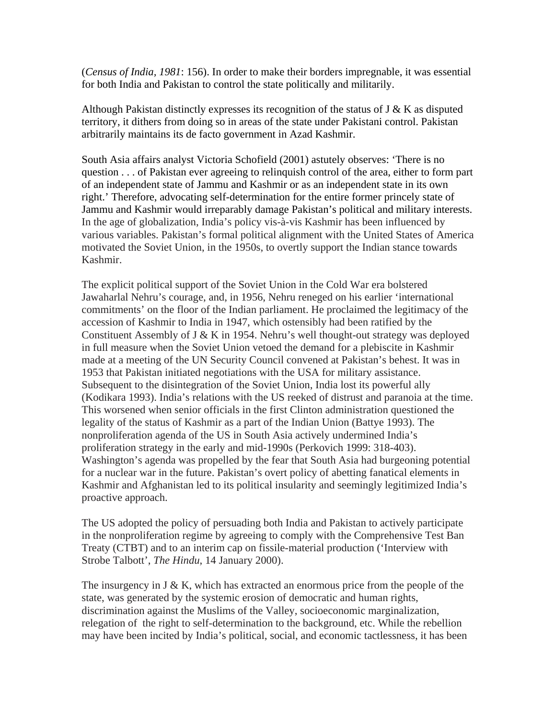(*Census of India, 1981*: 156). In order to make their borders impregnable, it was essential for both India and Pakistan to control the state politically and militarily.

Although Pakistan distinctly expresses its recognition of the status of  $J \& K$  as disputed territory, it dithers from doing so in areas of the state under Pakistani control. Pakistan arbitrarily maintains its de facto government in Azad Kashmir.

South Asia affairs analyst Victoria Schofield (2001) astutely observes: 'There is no question . . . of Pakistan ever agreeing to relinquish control of the area, either to form part of an independent state of Jammu and Kashmir or as an independent state in its own right.' Therefore, advocating self-determination for the entire former princely state of Jammu and Kashmir would irreparably damage Pakistan's political and military interests. In the age of globalization, India's policy vis-à-vis Kashmir has been influenced by various variables. Pakistan's formal political alignment with the United States of America motivated the Soviet Union, in the 1950s, to overtly support the Indian stance towards Kashmir.

The explicit political support of the Soviet Union in the Cold War era bolstered Jawaharlal Nehru's courage, and, in 1956, Nehru reneged on his earlier 'international commitments' on the floor of the Indian parliament. He proclaimed the legitimacy of the accession of Kashmir to India in 1947, which ostensibly had been ratified by the Constituent Assembly of J & K in 1954. Nehru's well thought-out strategy was deployed in full measure when the Soviet Union vetoed the demand for a plebiscite in Kashmir made at a meeting of the UN Security Council convened at Pakistan's behest. It was in 1953 that Pakistan initiated negotiations with the USA for military assistance. Subsequent to the disintegration of the Soviet Union, India lost its powerful ally (Kodikara 1993). India's relations with the US reeked of distrust and paranoia at the time. This worsened when senior officials in the first Clinton administration questioned the legality of the status of Kashmir as a part of the Indian Union (Battye 1993). The nonproliferation agenda of the US in South Asia actively undermined India's proliferation strategy in the early and mid-1990s (Perkovich 1999: 318-403). Washington's agenda was propelled by the fear that South Asia had burgeoning potential for a nuclear war in the future. Pakistan's overt policy of abetting fanatical elements in Kashmir and Afghanistan led to its political insularity and seemingly legitimized India's proactive approach.

The US adopted the policy of persuading both India and Pakistan to actively participate in the nonproliferation regime by agreeing to comply with the Comprehensive Test Ban Treaty (CTBT) and to an interim cap on fissile-material production ('Interview with Strobe Talbott', *The Hindu*, 14 January 2000).

The insurgency in  $J \& K$ , which has extracted an enormous price from the people of the state, was generated by the systemic erosion of democratic and human rights, discrimination against the Muslims of the Valley, socioeconomic marginalization, relegation of the right to self-determination to the background, etc. While the rebellion may have been incited by India's political, social, and economic tactlessness, it has been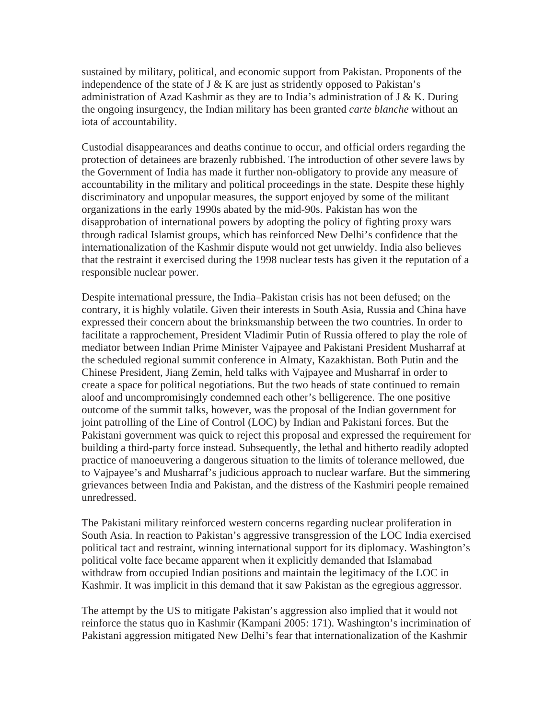sustained by military, political, and economic support from Pakistan. Proponents of the independence of the state of J  $&$  K are just as stridently opposed to Pakistan's administration of Azad Kashmir as they are to India's administration of J & K. During the ongoing insurgency, the Indian military has been granted *carte blanche* without an iota of accountability.

Custodial disappearances and deaths continue to occur, and official orders regarding the protection of detainees are brazenly rubbished. The introduction of other severe laws by the Government of India has made it further non-obligatory to provide any measure of accountability in the military and political proceedings in the state. Despite these highly discriminatory and unpopular measures, the support enjoyed by some of the militant organizations in the early 1990s abated by the mid-90s. Pakistan has won the disapprobation of international powers by adopting the policy of fighting proxy wars through radical Islamist groups, which has reinforced New Delhi's confidence that the internationalization of the Kashmir dispute would not get unwieldy. India also believes that the restraint it exercised during the 1998 nuclear tests has given it the reputation of a responsible nuclear power.

Despite international pressure, the India–Pakistan crisis has not been defused; on the contrary, it is highly volatile. Given their interests in South Asia, Russia and China have expressed their concern about the brinksmanship between the two countries. In order to facilitate a rapprochement, President Vladimir Putin of Russia offered to play the role of mediator between Indian Prime Minister Vajpayee and Pakistani President Musharraf at the scheduled regional summit conference in Almaty, Kazakhistan. Both Putin and the Chinese President, Jiang Zemin, held talks with Vajpayee and Musharraf in order to create a space for political negotiations. But the two heads of state continued to remain aloof and uncompromisingly condemned each other's belligerence. The one positive outcome of the summit talks, however, was the proposal of the Indian government for joint patrolling of the Line of Control (LOC) by Indian and Pakistani forces. But the Pakistani government was quick to reject this proposal and expressed the requirement for building a third-party force instead. Subsequently, the lethal and hitherto readily adopted practice of manoeuvering a dangerous situation to the limits of tolerance mellowed, due to Vajpayee's and Musharraf's judicious approach to nuclear warfare. But the simmering grievances between India and Pakistan, and the distress of the Kashmiri people remained unredressed.

The Pakistani military reinforced western concerns regarding nuclear proliferation in South Asia. In reaction to Pakistan's aggressive transgression of the LOC India exercised political tact and restraint, winning international support for its diplomacy. Washington's political volte face became apparent when it explicitly demanded that Islamabad withdraw from occupied Indian positions and maintain the legitimacy of the LOC in Kashmir. It was implicit in this demand that it saw Pakistan as the egregious aggressor.

The attempt by the US to mitigate Pakistan's aggression also implied that it would not reinforce the status quo in Kashmir (Kampani 2005: 171). Washington's incrimination of Pakistani aggression mitigated New Delhi's fear that internationalization of the Kashmir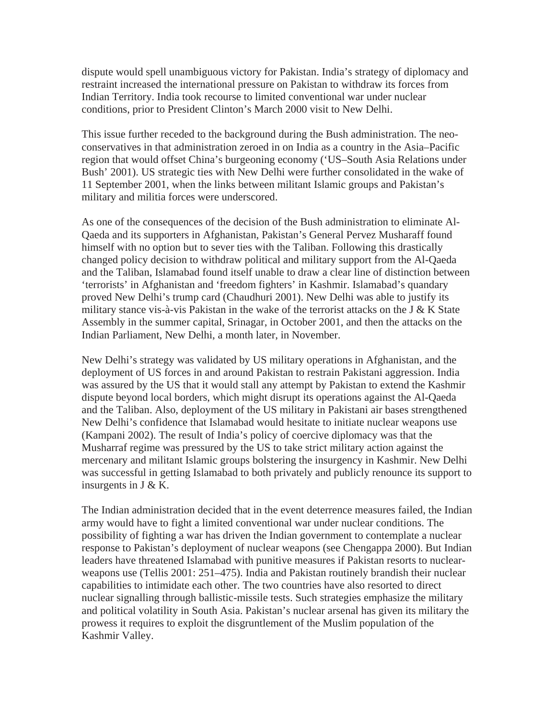dispute would spell unambiguous victory for Pakistan. India's strategy of diplomacy and restraint increased the international pressure on Pakistan to withdraw its forces from Indian Territory. India took recourse to limited conventional war under nuclear conditions, prior to President Clinton's March 2000 visit to New Delhi.

This issue further receded to the background during the Bush administration. The neoconservatives in that administration zeroed in on India as a country in the Asia–Pacific region that would offset China's burgeoning economy ('US–South Asia Relations under Bush' 2001). US strategic ties with New Delhi were further consolidated in the wake of 11 September 2001, when the links between militant Islamic groups and Pakistan's military and militia forces were underscored.

As one of the consequences of the decision of the Bush administration to eliminate Al-Qaeda and its supporters in Afghanistan, Pakistan's General Pervez Musharaff found himself with no option but to sever ties with the Taliban. Following this drastically changed policy decision to withdraw political and military support from the Al-Qaeda and the Taliban, Islamabad found itself unable to draw a clear line of distinction between 'terrorists' in Afghanistan and 'freedom fighters' in Kashmir. Islamabad's quandary proved New Delhi's trump card (Chaudhuri 2001). New Delhi was able to justify its military stance vis-à-vis Pakistan in the wake of the terrorist attacks on the J  $&$  K State Assembly in the summer capital, Srinagar, in October 2001, and then the attacks on the Indian Parliament, New Delhi, a month later, in November.

New Delhi's strategy was validated by US military operations in Afghanistan, and the deployment of US forces in and around Pakistan to restrain Pakistani aggression. India was assured by the US that it would stall any attempt by Pakistan to extend the Kashmir dispute beyond local borders, which might disrupt its operations against the Al-Qaeda and the Taliban. Also, deployment of the US military in Pakistani air bases strengthened New Delhi's confidence that Islamabad would hesitate to initiate nuclear weapons use (Kampani 2002). The result of India's policy of coercive diplomacy was that the Musharraf regime was pressured by the US to take strict military action against the mercenary and militant Islamic groups bolstering the insurgency in Kashmir. New Delhi was successful in getting Islamabad to both privately and publicly renounce its support to insurgents in J & K.

The Indian administration decided that in the event deterrence measures failed, the Indian army would have to fight a limited conventional war under nuclear conditions. The possibility of fighting a war has driven the Indian government to contemplate a nuclear response to Pakistan's deployment of nuclear weapons (see Chengappa 2000). But Indian leaders have threatened Islamabad with punitive measures if Pakistan resorts to nuclearweapons use (Tellis 2001: 251–475). India and Pakistan routinely brandish their nuclear capabilities to intimidate each other. The two countries have also resorted to direct nuclear signalling through ballistic-missile tests. Such strategies emphasize the military and political volatility in South Asia. Pakistan's nuclear arsenal has given its military the prowess it requires to exploit the disgruntlement of the Muslim population of the Kashmir Valley.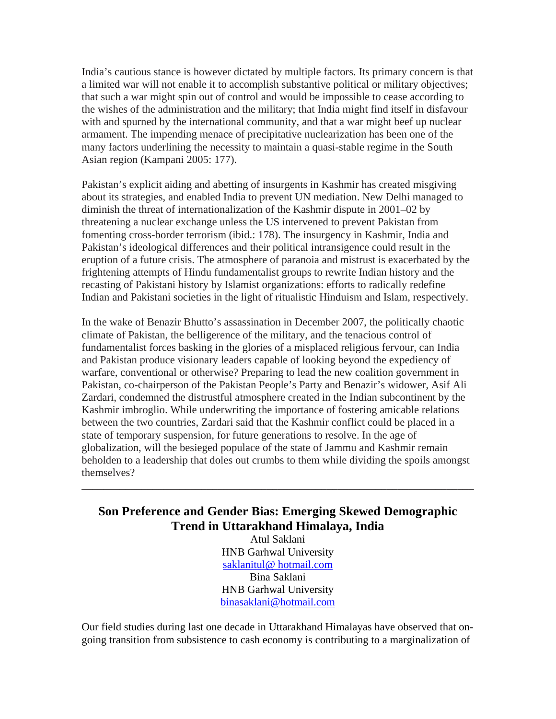India's cautious stance is however dictated by multiple factors. Its primary concern is that a limited war will not enable it to accomplish substantive political or military objectives; that such a war might spin out of control and would be impossible to cease according to the wishes of the administration and the military; that India might find itself in disfavour with and spurned by the international community, and that a war might beef up nuclear armament. The impending menace of precipitative nuclearization has been one of the many factors underlining the necessity to maintain a quasi-stable regime in the South Asian region (Kampani 2005: 177).

Pakistan's explicit aiding and abetting of insurgents in Kashmir has created misgiving about its strategies, and enabled India to prevent UN mediation. New Delhi managed to diminish the threat of internationalization of the Kashmir dispute in 2001–02 by threatening a nuclear exchange unless the US intervened to prevent Pakistan from fomenting cross-border terrorism (ibid.: 178). The insurgency in Kashmir, India and Pakistan's ideological differences and their political intransigence could result in the eruption of a future crisis. The atmosphere of paranoia and mistrust is exacerbated by the frightening attempts of Hindu fundamentalist groups to rewrite Indian history and the recasting of Pakistani history by Islamist organizations: efforts to radically redefine Indian and Pakistani societies in the light of ritualistic Hinduism and Islam, respectively.

In the wake of Benazir Bhutto's assassination in December 2007, the politically chaotic climate of Pakistan, the belligerence of the military, and the tenacious control of fundamentalist forces basking in the glories of a misplaced religious fervour, can India and Pakistan produce visionary leaders capable of looking beyond the expediency of warfare, conventional or otherwise? Preparing to lead the new coalition government in Pakistan, co-chairperson of the Pakistan People's Party and Benazir's widower, Asif Ali Zardari, condemned the distrustful atmosphere created in the Indian subcontinent by the Kashmir imbroglio. While underwriting the importance of fostering amicable relations between the two countries, Zardari said that the Kashmir conflict could be placed in a state of temporary suspension, for future generations to resolve. In the age of globalization, will the besieged populace of the state of Jammu and Kashmir remain beholden to a leadership that doles out crumbs to them while dividing the spoils amongst themselves?

## **Son Preference and Gender Bias: Emerging Skewed Demographic Trend in Uttarakhand Himalaya, India**

\_\_\_\_\_\_\_\_\_\_\_\_\_\_\_\_\_\_\_\_\_\_\_\_\_\_\_\_\_\_\_\_\_\_\_\_\_\_\_\_\_\_\_\_\_\_\_\_\_\_\_\_\_\_\_\_\_\_\_\_\_\_\_\_\_\_\_\_\_\_\_\_

Atul Saklani HNB Garhwal University saklanitul@ hotmail.com Bina Saklani HNB Garhwal University binasaklani@hotmail.com

Our field studies during last one decade in Uttarakhand Himalayas have observed that ongoing transition from subsistence to cash economy is contributing to a marginalization of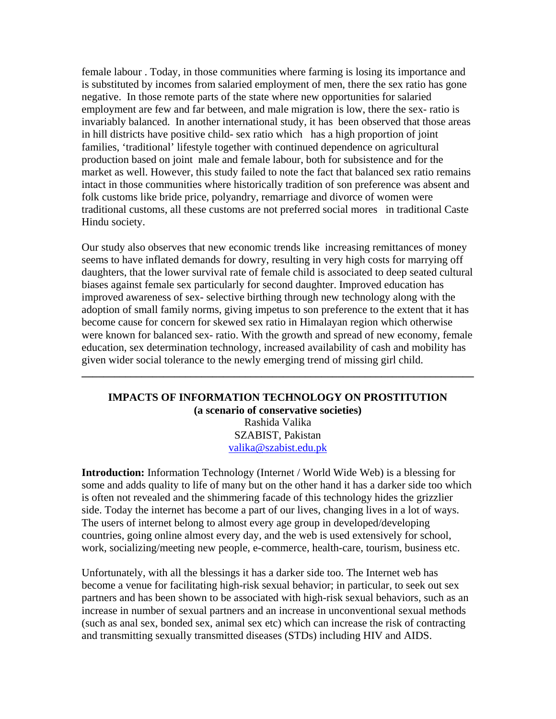female labour . Today, in those communities where farming is losing its importance and is substituted by incomes from salaried employment of men, there the sex ratio has gone negative. In those remote parts of the state where new opportunities for salaried employment are few and far between, and male migration is low, there the sex- ratio is invariably balanced. In another international study, it has been observed that those areas in hill districts have positive child- sex ratio which has a high proportion of joint families, 'traditional' lifestyle together with continued dependence on agricultural production based on joint male and female labour, both for subsistence and for the market as well. However, this study failed to note the fact that balanced sex ratio remains intact in those communities where historically tradition of son preference was absent and folk customs like bride price, polyandry, remarriage and divorce of women were traditional customs, all these customs are not preferred social mores in traditional Caste Hindu society.

Our study also observes that new economic trends like increasing remittances of money seems to have inflated demands for dowry, resulting in very high costs for marrying off daughters, that the lower survival rate of female child is associated to deep seated cultural biases against female sex particularly for second daughter. Improved education has improved awareness of sex- selective birthing through new technology along with the adoption of small family norms, giving impetus to son preference to the extent that it has become cause for concern for skewed sex ratio in Himalayan region which otherwise were known for balanced sex- ratio. With the growth and spread of new economy, female education, sex determination technology, increased availability of cash and mobility has given wider social tolerance to the newly emerging trend of missing girl child.

#### **IMPACTS OF INFORMATION TECHNOLOGY ON PROSTITUTION (a scenario of conservative societies)** Rashida Valika SZABIST, Pakistan valika@szabist.edu.pk

**\_\_\_\_\_\_\_\_\_\_\_\_\_\_\_\_\_\_\_\_\_\_\_\_\_\_\_\_\_\_\_\_\_\_\_\_\_\_\_\_\_\_\_\_\_\_\_\_\_\_\_\_\_\_\_\_\_\_\_\_\_\_\_\_\_\_\_\_\_\_\_\_** 

**Introduction:** Information Technology (Internet / World Wide Web) is a blessing for some and adds quality to life of many but on the other hand it has a darker side too which is often not revealed and the shimmering facade of this technology hides the grizzlier side. Today the internet has become a part of our lives, changing lives in a lot of ways. The users of internet belong to almost every age group in developed/developing countries, going online almost every day, and the web is used extensively for school, work, socializing/meeting new people, e-commerce, health-care, tourism, business etc.

Unfortunately, with all the blessings it has a darker side too. The Internet web has become a venue for facilitating high-risk sexual behavior; in particular, to seek out sex partners and has been shown to be associated with high-risk sexual behaviors, such as an increase in number of sexual partners and an increase in unconventional sexual methods (such as anal sex, bonded sex, animal sex etc) which can increase the risk of contracting and transmitting sexually transmitted diseases (STDs) including HIV and AIDS.